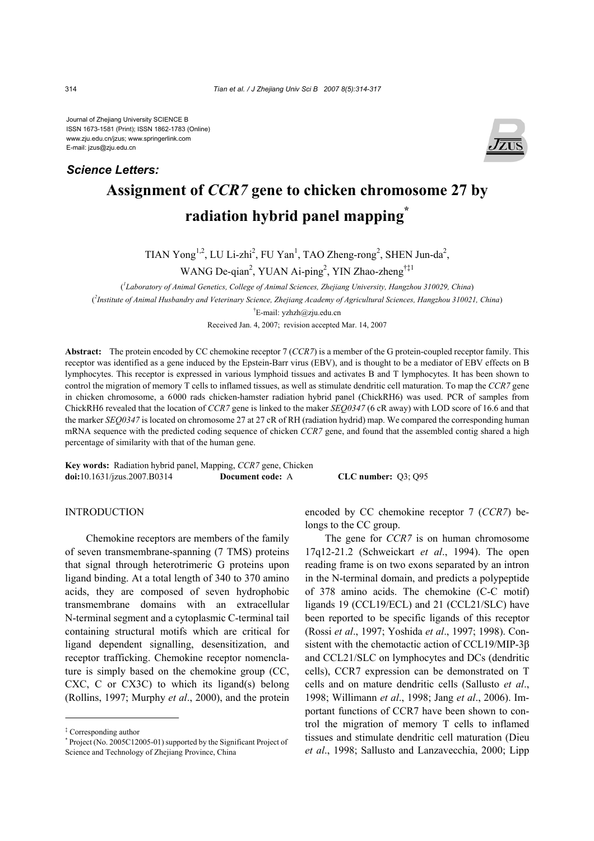Journal of Zhejiang University SCIENCE B ISSN 1673-1581 (Print); ISSN 1862-1783 (Online) www.zju.edu.cn/jzus; www.springerlink.com E-mail: jzus@zju.edu.cn

*Science Letters:*



# **Assignment of** *CCR7* **gene to chicken chromosome 27 by radiation hybrid panel mapping\***

TIAN Yong<sup>1,2</sup>, LU Li-zhi<sup>2</sup>, FU Yan<sup>1</sup>, TAO Zheng-rong<sup>2</sup>, SHEN Jun-da<sup>2</sup>,

WANG De-qian<sup>2</sup>, YUAN Ai-ping<sup>2</sup>, YIN Zhao-zheng<sup>†‡1</sup>

( *1 Laboratory of Animal Genetics, College of Animal Sciences, Zhejiang University, Hangzhou 310029, China*) ( *2 Institute of Animal Husbandry and Veterinary Science, Zhejiang Academy of Agricultural Sciences, Hangzhou 310021, China*) † E-mail: yzhzh@zju.edu.cn

Received Jan. 4, 2007; revision accepted Mar. 14, 2007

**Abstract:** The protein encoded by CC chemokine receptor 7 (*CCR7*) is a member of the G protein-coupled receptor family. This receptor was identified as a gene induced by the Epstein-Barr virus (EBV), and is thought to be a mediator of EBV effects on B lymphocytes. This receptor is expressed in various lymphoid tissues and activates B and T lymphocytes. It has been shown to control the migration of memory T cells to inflamed tissues, as well as stimulate dendritic cell maturation. To map the *CCR7* gene in chicken chromosome, a 6000 rads chicken-hamster radiation hybrid panel (ChickRH6) was used. PCR of samples from ChickRH6 revealed that the location of *CCR7* gene is linked to the maker *SEQ0347* (6 cR away) with LOD score of 16.6 and that the marker *SEQ0347* is located on chromosome 27 at 27 cR of RH (radiation hydrid) map. We compared the corresponding human mRNA sequence with the predicted coding sequence of chicken *CCR7* gene, and found that the assembled contig shared a high percentage of similarity with that of the human gene.

**Key words:** Radiation hybrid panel, Mapping, *CCR7* gene, Chicken **doi:**10.1631/jzus.2007.B0314 **Document code:** A **CLC number:** Q3; Q95

### INTRODUCTION

Chemokine receptors are members of the family of seven transmembrane-spanning (7 TMS) proteins that signal through heterotrimeric G proteins upon ligand binding. At a total length of 340 to 370 amino acids, they are composed of seven hydrophobic transmembrane domains with an extracellular N-terminal segment and a cytoplasmic C-terminal tail containing structural motifs which are critical for ligand dependent signalling, desensitization, and receptor trafficking. Chemokine receptor nomenclature is simply based on the chemokine group (CC, CXC, C or CX3C) to which its ligand(s) belong (Rollins, 1997; Murphy *et al*., 2000), and the protein

encoded by CC chemokine receptor 7 (*CCR7*) belongs to the CC group.

The gene for *CCR7* is on human chromosome 17q12-21.2 (Schweickart *et al*., 1994). The open reading frame is on two exons separated by an intron in the N-terminal domain, and predicts a polypeptide of 378 amino acids. The chemokine (C-C motif) ligands 19 (CCL19/ECL) and 21 (CCL21/SLC) have been reported to be specific ligands of this receptor (Rossi *et al*., 1997; Yoshida *et al*., 1997; 1998). Consistent with the chemotactic action of CCL19/MIP-3β and CCL21/SLC on lymphocytes and DCs (dendritic cells), CCR7 expression can be demonstrated on T cells and on mature dendritic cells (Sallusto *et al*., 1998; Willimann *et al*., 1998; Jang *et al*., 2006). Important functions of CCR7 have been shown to control the migration of memory T cells to inflamed tissues and stimulate dendritic cell maturation (Dieu *et al*., 1998; Sallusto and Lanzavecchia, 2000; Lipp

<sup>‡</sup> Corresponding author

<sup>\*</sup> Project (No. 2005C12005-01) supported by the Significant Project of Science and Technology of Zhejiang Province, China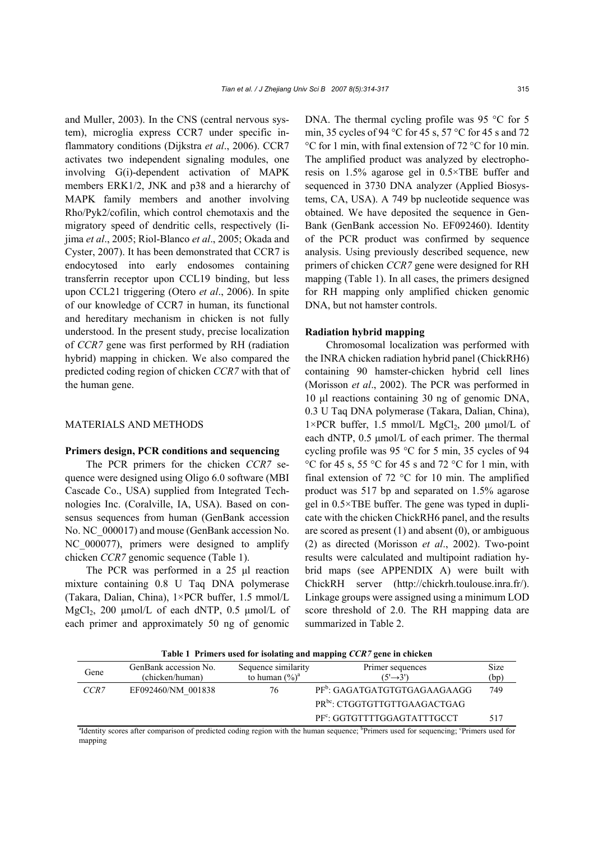and Muller, 2003). In the CNS (central nervous system), microglia express CCR7 under specific inflammatory conditions (Dijkstra *et al*., 2006). CCR7 activates two independent signaling modules, one involving G(i)-dependent activation of MAPK members ERK1/2, JNK and p38 and a hierarchy of MAPK family members and another involving Rho/Pyk2/cofilin, which control chemotaxis and the migratory speed of dendritic cells, respectively (Iijima *et al*., 2005; Riol-Blanco *et al*., 2005; Okada and Cyster, 2007). It has been demonstrated that CCR7 is endocytosed into early endosomes containing transferrin receptor upon CCL19 binding, but less upon CCL21 triggering (Otero *et al*., 2006). In spite of our knowledge of CCR7 in human, its functional and hereditary mechanism in chicken is not fully understood. In the present study, precise localization of *CCR7* gene was first performed by RH (radiation hybrid) mapping in chicken. We also compared the predicted coding region of chicken *CCR7* with that of the human gene.

# MATERIALS AND METHODS

## **Primers design, PCR conditions and sequencing**

The PCR primers for the chicken *CCR7* sequence were designed using Oligo 6.0 software (MBI Cascade Co., USA) supplied from Integrated Technologies Inc. (Coralville, IA, USA). Based on consensus sequences from human (GenBank accession No. NC 000017) and mouse (GenBank accession No. NC 000077), primers were designed to amplify chicken *CCR7* genomic sequence (Table 1).

The PCR was performed in a 25 µl reaction mixture containing 0.8 U Taq DNA polymerase (Takara, Dalian, China), 1×PCR buffer, 1.5 mmol/L MgCl<sub>2</sub>, 200 µmol/L of each dNTP, 0.5 µmol/L of each primer and approximately 50 ng of genomic

DNA. The thermal cycling profile was 95 °C for 5 min, 35 cycles of 94 °C for 45 s, 57 °C for 45 s and 72 °C for 1 min, with final extension of 72 °C for 10 min. The amplified product was analyzed by electrophoresis on 1.5% agarose gel in 0.5×TBE buffer and sequenced in 3730 DNA analyzer (Applied Biosystems, CA, USA). A 749 bp nucleotide sequence was obtained. We have deposited the sequence in Gen-Bank (GenBank accession No. EF092460). Identity of the PCR product was confirmed by sequence analysis. Using previously described sequence, new primers of chicken *CCR7* gene were designed for RH mapping (Table 1). In all cases, the primers designed for RH mapping only amplified chicken genomic DNA, but not hamster controls.

## **Radiation hybrid mapping**

Chromosomal localization was performed with the INRA chicken radiation hybrid panel (ChickRH6) containing 90 hamster-chicken hybrid cell lines (Morisson *et al*., 2002). The PCR was performed in 10 µl reactions containing 30 ng of genomic DNA, 0.3 U Taq DNA polymerase (Takara, Dalian, China),  $1\times$ PCR buffer, 1.5 mmol/L MgCl<sub>2</sub>, 200 µmol/L of each dNTP,  $0.5 \mu$ mol/L of each primer. The thermal cycling profile was 95 °C for 5 min, 35 cycles of 94 °C for 45 s, 55 °C for 45 s and 72 °C for 1 min, with final extension of 72 °C for 10 min. The amplified product was 517 bp and separated on 1.5% agarose gel in 0.5×TBE buffer. The gene was typed in duplicate with the chicken ChickRH6 panel, and the results are scored as present  $(1)$  and absent  $(0)$ , or ambiguous (2) as directed (Morisson *et al*., 2002). Two-point results were calculated and multipoint radiation hybrid maps (see APPENDIX A) were built with ChickRH server (http://chickrh.toulouse.inra.fr/). Linkage groups were assigned using a minimum LOD score threshold of 2.0. The RH mapping data are summarized in Table 2.

**Table 1 Primers used for isolating and mapping** *CCR7* **gene in chicken** 

| Gene                                                                                                                                  | GenBank accession No.<br>(chicken/human) | Sequence similarity<br>to human $(\%)^a$ | Primer sequences<br>$(5' \rightarrow 3')$ | <b>Size</b><br>(bp) |  |  |
|---------------------------------------------------------------------------------------------------------------------------------------|------------------------------------------|------------------------------------------|-------------------------------------------|---------------------|--|--|
| CCR <sub>7</sub>                                                                                                                      | EF092460/NM 001838                       | 76                                       | PF <sup>b</sup> : GAGATGATGTGTGAGAAGAAGG  | 749                 |  |  |
|                                                                                                                                       |                                          |                                          | PR <sup>bc</sup> : CTGGTGTTGTTGAAGACTGAG  |                     |  |  |
|                                                                                                                                       |                                          |                                          | PF <sup>c</sup> : GGTGTTTTGGAGTATTTGCCT   | 517                 |  |  |
| "Identity scores after comparison of predicted coding region with the human sequence; "Primers used for sequencing; "Primers used for |                                          |                                          |                                           |                     |  |  |

mapping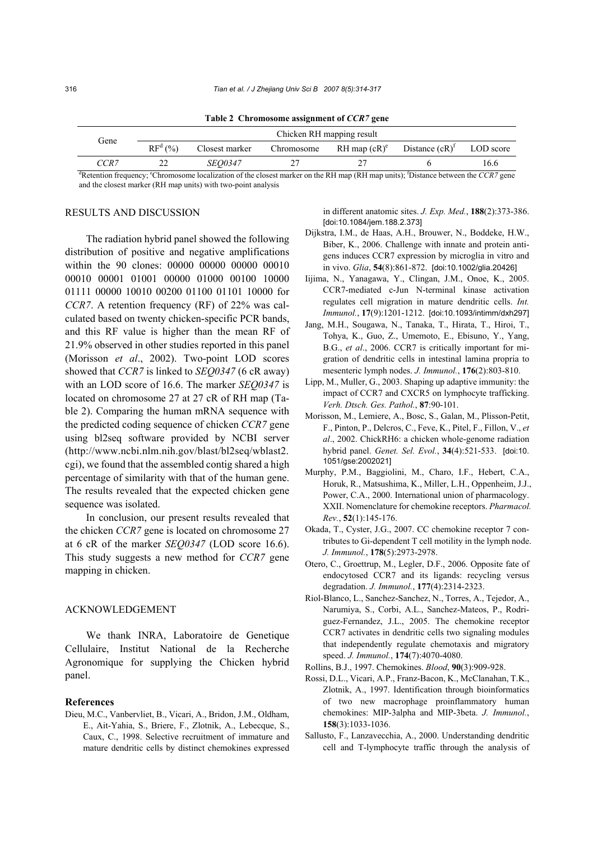| <b>Table 2</b> Chromosome assignment of CCR/gene                                                                                               |                           |                |            |                   |                   |           |  |  |
|------------------------------------------------------------------------------------------------------------------------------------------------|---------------------------|----------------|------------|-------------------|-------------------|-----------|--|--|
| Gene                                                                                                                                           | Chicken RH mapping result |                |            |                   |                   |           |  |  |
|                                                                                                                                                | $RFd(\%)$                 | Closest marker | Chromosome | $RH$ map $(cR)^e$ | Distance $(cR)^T$ | LOD score |  |  |
| CCR <sub>7</sub>                                                                                                                               |                           | <i>SEO0347</i> |            |                   |                   | 16.6      |  |  |
| ${}^d$ Retention frequency; ${}^e$ Chromosome localization of the closest marker on the RH map (RH map units); 'Distance between the CCR7 gene |                           |                |            |                   |                   |           |  |  |

**Table 2 Chromosome assignment of** *CCR7* **gene** 

and the closest marker (RH map units) with two-point analysis

#### RESULTS AND DISCUSSION

The radiation hybrid panel showed the following distribution of positive and negative amplifications within the 90 clones: 00000 00000 00000 00010 00010 00001 01001 00000 01000 00100 10000 01111 00000 10010 00200 01100 01101 10000 for *CCR7*. A retention frequency (RF) of 22% was calculated based on twenty chicken-specific PCR bands, and this RF value is higher than the mean RF of 21.9% observed in other studies reported in this panel (Morisson *et al*., 2002). Two-point LOD scores showed that *CCR7* is linked to *SEQ0347* (6 cR away) with an LOD score of 16.6. The marker *SEQ0347* is located on chromosome 27 at 27 cR of RH map (Table 2). Comparing the human mRNA sequence with the predicted coding sequence of chicken *CCR7* gene using bl2seq software provided by NCBI server (http://www.ncbi.nlm.nih.gov/blast/bl2seq/wblast2. cgi), we found that the assembled contig shared a high percentage of similarity with that of the human gene. The results revealed that the expected chicken gene sequence was isolated.

In conclusion, our present results revealed that the chicken *CCR7* gene is located on chromosome 27 at 6 cR of the marker *SEQ0347* (LOD score 16.6). This study suggests a new method for *CCR7* gene mapping in chicken.

#### ACKNOWLEDGEMENT

We thank INRA, Laboratoire de Genetique Cellulaire, Institut National de la Recherche Agronomique for supplying the Chicken hybrid panel.

#### **References**

Dieu, M.C., Vanbervliet, B., Vicari, A., Bridon, J.M., Oldham, E., Ait-Yahia, S., Briere, F., Zlotnik, A., Lebecque, S., Caux, C., 1998. Selective recruitment of immature and mature dendritic cells by distinct chemokines expressed in different anatomic sites. *J. Exp. Med.*, **188**(2):373-386. [doi:10.1084/jem.188.2.373]

- Dijkstra, I.M., de Haas, A.H., Brouwer, N., Boddeke, H.W., Biber, K., 2006. Challenge with innate and protein antigens induces CCR7 expression by microglia in vitro and in vivo. *Glia*, **54**(8):861-872. [doi:10.1002/glia.20426]
- Iijima, N., Yanagawa, Y., Clingan, J.M., Onoe, K., 2005. CCR7-mediated c-Jun N-terminal kinase activation regulates cell migration in mature dendritic cells. *Int. Immunol.*, **17**(9):1201-1212. [doi:10.1093/intimm/dxh297]
- Jang, M.H., Sougawa, N., Tanaka, T., Hirata, T., Hiroi, T., Tohya, K., Guo, Z., Umemoto, E., Ebisuno, Y., Yang, B.G., *et al*., 2006. CCR7 is critically important for migration of dendritic cells in intestinal lamina propria to mesenteric lymph nodes. *J. Immunol.*, **176**(2):803-810.
- Lipp, M., Muller, G., 2003. Shaping up adaptive immunity: the impact of CCR7 and CXCR5 on lymphocyte trafficking. *Verh. Dtsch. Ges. Pathol.*, **87**:90-101.
- Morisson, M., Lemiere, A., Bosc, S., Galan, M., Plisson-Petit, F., Pinton, P., Delcros, C., Feve, K., Pitel, F., Fillon, V., *et al*., 2002. ChickRH6: a chicken whole-genome radiation hybrid panel. *Genet. Sel. Evol.*, **34**(4):521-533. [doi:10. 1051/gse:2002021]
- Murphy, P.M., Baggiolini, M., Charo, I.F., Hebert, C.A., Horuk, R., Matsushima, K., Miller, L.H., Oppenheim, J.J., Power, C.A., 2000. International union of pharmacology. XXII. Nomenclature for chemokine receptors. *Pharmacol. Rev.*, **52**(1):145-176.
- Okada, T., Cyster, J.G., 2007. CC chemokine receptor 7 contributes to Gi-dependent T cell motility in the lymph node. *J. Immunol.*, **178**(5):2973-2978.
- Otero, C., Groettrup, M., Legler, D.F., 2006. Opposite fate of endocytosed CCR7 and its ligands: recycling versus degradation. *J. Immunol.*, **177**(4):2314-2323.
- Riol-Blanco, L., Sanchez-Sanchez, N., Torres, A., Tejedor, A., Narumiya, S., Corbi, A.L., Sanchez-Mateos, P., Rodriguez-Fernandez, J.L., 2005. The chemokine receptor CCR7 activates in dendritic cells two signaling modules that independently regulate chemotaxis and migratory speed. *J. Immunol.*, **174**(7):4070-4080.
- Rollins, B.J., 1997. Chemokines. *Blood*, **90**(3):909-928.
- Rossi, D.L., Vicari, A.P., Franz-Bacon, K., McClanahan, T.K., Zlotnik, A., 1997. Identification through bioinformatics of two new macrophage proinflammatory human chemokines: MIP-3alpha and MIP-3beta. *J. Immunol.*, **158**(3):1033-1036.
- Sallusto, F., Lanzavecchia, A., 2000. Understanding dendritic cell and T-lymphocyte traffic through the analysis of